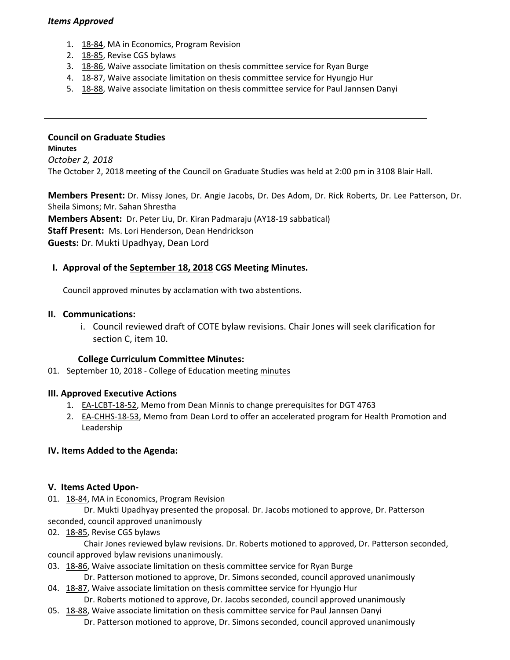## *Items Approved*

- 1. 18‐[84,](http://castle.eiu.edu/eiucgs/currentagendaitems/agenda18-84.pdf) MA in Economics, Program Revision
- 2. 18‐[85,](http://castle.eiu.edu/eiucgs/currentagendaitems/agenda18-85.pdf) Revise CGS bylaws
- 3. 18‐[86,](http://castle.eiu.edu/eiucgs/currentagendaitems/agenda18-86.pdf) Waive associate limitation on thesis committee service for Ryan Burge
- 4. 18-[87,](http://castle.eiu.edu/eiucgs/currentagendaitems/agenda18-87.pdf) Waive associate limitation on thesis committee service for Hyungjo Hur
- 5. 18‐[88,](http://castle.eiu.edu/eiucgs/currentagendaitems/agenda18-88.pdf) Waive associate limitation on thesis committee service for Paul Jannsen Danyi

# **Council on Graduate Studies**

**Minutes** *October 2, 2018* The October 2, 2018 meeting of the Council on Graduate Studies was held at 2:00 pm in 3108 Blair Hall.

**Members Present:** Dr. Missy Jones, Dr. Angie Jacobs, Dr. Des Adom, Dr. Rick Roberts, Dr. Lee Patterson, Dr. Sheila Simons; Mr. Sahan Shrestha **Members Absent:** Dr. Peter Liu, Dr. Kiran Padmaraju (AY18‐19 sabbatical) **Staff Present:** Ms. Lori Henderson, Dean Hendrickson **Guests:** Dr. Mukti Upadhyay, Dean Lord

# **I. Approval of the [September](http://castle.eiu.edu/eiucgs/currentminutes/Minutes9-18-18.pdf) 18, 2018 CGS Meeting Minutes.**

Council approved minutes by acclamation with two abstentions.

## **II. Communications:**

i. Council reviewed draft of COTE bylaw revisions. Chair Jones will seek clarification for section C, item 10.

#### **College Curriculum Committee Minutes:**

01. September 10, 2018 - College of Education meeting [minutes](http://www.eiu.edu/cepscurriculum/ay20182019/supportdocs/sep/coe_curr_minutes_09102018.pdf)

## **III. Approved Executive Actions**

- 1. EA‐[LCBT](http://castle.eiu.edu/eiucgs/exec-actions/EA-LCBT-18-52.pdf)‐18‐52, Memo from Dean Minnis to change prerequisites for DGT 4763
- 2. EA-[CHHS](http://castle.eiu.edu/eiucgs/exec-actions/EA-CHHS-18-53.pdf)-18-53, Memo from Dean Lord to offer an accelerated program for Health Promotion and Leadership

## **IV. Items Added to the Agenda:**

#### **V. Items Acted Upon‐**

01. 18‐[84,](http://castle.eiu.edu/eiucgs/currentagendaitems/agenda18-84.pdf) MA in Economics, Program Revision

 Dr. Mukti Upadhyay presented the proposal. Dr. Jacobs motioned to approve, Dr. Patterson seconded, council approved unanimously

02. 18‐[85,](http://castle.eiu.edu/eiucgs/currentagendaitems/agenda18-85.pdf) Revise CGS bylaws

 Chair Jones reviewed bylaw revisions. Dr. Roberts motioned to approved, Dr. Patterson seconded, council approved bylaw revisions unanimously.

- 03. 18‐[86,](http://castle.eiu.edu/eiucgs/currentagendaitems/agenda18-86.pdf) Waive associate limitation on thesis committee service for Ryan Burge
	- Dr. Patterson motioned to approve, Dr. Simons seconded, council approved unanimously
- 04. 18‐[87,](http://castle.eiu.edu/eiucgs/currentagendaitems/agenda18-87.pdf) Waive associate limitation on thesis committee service for Hyungjo Hur Dr. Roberts motioned to approve, Dr. Jacobs seconded, council approved unanimously
- 05. 18‐[88,](http://castle.eiu.edu/eiucgs/currentagendaitems/agenda18-88.pdf) Waive associate limitation on thesis committee service for Paul Jannsen Danyi Dr. Patterson motioned to approve, Dr. Simons seconded, council approved unanimously